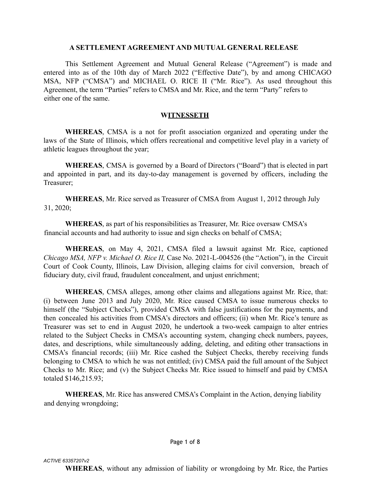## **A SETTLEMENT AGREEMENT AND MUTUAL GENERAL RELEASE**

This Settlement Agreement and Mutual General Release ("Agreement") is made and entered into as of the 10th day of March 2022 ("Effective Date"), by and among CHICAGO MSA, NFP ("CMSA") and MICHAEL O. RICE II ("Mr. Rice"). As used throughout this Agreement, the term "Parties" refers to CMSA and Mr. Rice, and the term "Party" refers to either one of the same.

## **WITNESSETH**

**WHEREAS**, CMSA is a not for profit association organized and operating under the laws of the State of Illinois, which offers recreational and competitive level play in a variety of athletic leagues throughout the year;

**WHEREAS**, CMSA is governed by a Board of Directors ("Board") that is elected in part and appointed in part, and its day-to-day management is governed by officers, including the Treasurer;

**WHEREAS**, Mr. Rice served as Treasurer of CMSA from August 1, 2012 through July 31, 2020;

**WHEREAS**, as part of his responsibilities as Treasurer, Mr. Rice oversaw CMSA's financial accounts and had authority to issue and sign checks on behalf of CMSA;

**WHEREAS**, on May 4, 2021, CMSA filed a lawsuit against Mr. Rice, captioned *Chicago MSA, NFP v. Michael O. Rice II,* Case No. 2021-L-004526 (the "Action"), in the Circuit Court of Cook County, Illinois, Law Division, alleging claims for civil conversion, breach of fiduciary duty, civil fraud, fraudulent concealment, and unjust enrichment;

**WHEREAS**, CMSA alleges, among other claims and allegations against Mr. Rice, that: (i) between June 2013 and July 2020, Mr. Rice caused CMSA to issue numerous checks to himself (the "Subject Checks"), provided CMSA with false justifications for the payments, and then concealed his activities from CMSA's directors and officers; (ii) when Mr. Rice's tenure as Treasurer was set to end in August 2020, he undertook a two-week campaign to alter entries related to the Subject Checks in CMSA's accounting system, changing check numbers, payees, dates, and descriptions, while simultaneously adding, deleting, and editing other transactions in CMSA's financial records; (iii) Mr. Rice cashed the Subject Checks, thereby receiving funds belonging to CMSA to which he was not entitled; (iv) CMSA paid the full amount of the Subject Checks to Mr. Rice; and (v) the Subject Checks Mr. Rice issued to himself and paid by CMSA totaled \$146,215.93;

**WHEREAS**, Mr. Rice has answered CMSA's Complaint in the Action, denying liability and denying wrongdoing;

#### *ACTIVE 63357207v2*

**WHEREAS**, without any admission of liability or wrongdoing by Mr. Rice, the Parties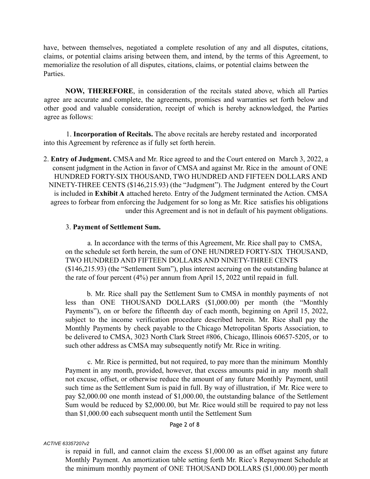have, between themselves, negotiated a complete resolution of any and all disputes, citations, claims, or potential claims arising between them, and intend, by the terms of this Agreement, to memorialize the resolution of all disputes, citations, claims, or potential claims between the Parties.

**NOW, THEREFORE**, in consideration of the recitals stated above, which all Parties agree are accurate and complete, the agreements, promises and warranties set forth below and other good and valuable consideration, receipt of which is hereby acknowledged, the Parties agree as follows:

1. **Incorporation of Recitals.** The above recitals are hereby restated and incorporated into this Agreement by reference as if fully set forth herein.

2. **Entry of Judgment.** CMSA and Mr. Rice agreed to and the Court entered on March 3, 2022, a consent judgment in the Action in favor of CMSA and against Mr. Rice in the amount of ONE HUNDRED FORTY-SIX THOUSAND, TWO HUNDRED AND FIFTEEN DOLLARS AND NINETY-THREE CENTS (\$146,215.93) (the "Judgment"). The Judgment entered by the Court is included in **Exhibit A** attached hereto. Entry of the Judgment terminated the Action. CMSA agrees to forbear from enforcing the Judgement for so long as Mr. Rice satisfies his obligations under this Agreement and is not in default of his payment obligations.

## 3. **Payment of Settlement Sum.**

a. In accordance with the terms of this Agreement, Mr. Rice shall pay to CMSA, on the schedule set forth herein, the sum of ONE HUNDRED FORTY-SIX THOUSAND, TWO HUNDRED AND FIFTEEN DOLLARS AND NINETY-THREE CENTS (\$146,215.93) (the "Settlement Sum"), plus interest accruing on the outstanding balance at the rate of four percent (4%) per annum from April 15, 2022 until repaid in full.

b. Mr. Rice shall pay the Settlement Sum to CMSA in monthly payments of not less than ONE THOUSAND DOLLARS (\$1,000.00) per month (the "Monthly Payments"), on or before the fifteenth day of each month, beginning on April 15, 2022, subject to the income verification procedure described herein. Mr. Rice shall pay the Monthly Payments by check payable to the Chicago Metropolitan Sports Association, to be delivered to CMSA, 3023 North Clark Street #806, Chicago, Illinois 60657-5205, or to such other address as CMSA may subsequently notify Mr. Rice in writing.

c. Mr. Rice is permitted, but not required, to pay more than the minimum Monthly Payment in any month, provided, however, that excess amounts paid in any month shall not excuse, offset, or otherwise reduce the amount of any future Monthly Payment, until such time as the Settlement Sum is paid in full. By way of illustration, if Mr. Rice were to pay \$2,000.00 one month instead of \$1,000.00, the outstanding balance of the Settlement Sum would be reduced by \$2,000.00, but Mr. Rice would still be required to pay not less than \$1,000.00 each subsequent month until the Settlement Sum

## Page 2 of 8

#### *ACTIVE 63357207v2*

is repaid in full, and cannot claim the excess \$1,000.00 as an offset against any future Monthly Payment. An amortization table setting forth Mr. Rice's Repayment Schedule at the minimum monthly payment of ONE THOUSAND DOLLARS (\$1,000.00) per month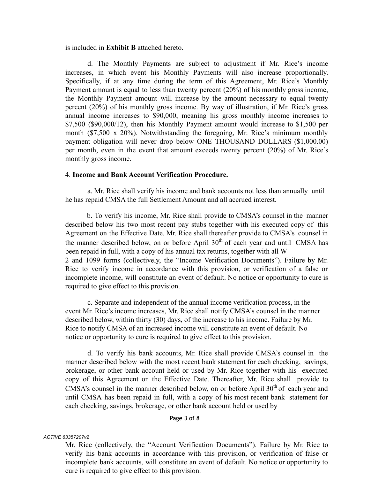is included in **Exhibit B** attached hereto.

d. The Monthly Payments are subject to adjustment if Mr. Rice's income increases, in which event his Monthly Payments will also increase proportionally. Specifically, if at any time during the term of this Agreement, Mr. Rice's Monthly Payment amount is equal to less than twenty percent (20%) of his monthly gross income, the Monthly Payment amount will increase by the amount necessary to equal twenty percent (20%) of his monthly gross income. By way of illustration, if Mr. Rice's gross annual income increases to \$90,000, meaning his gross monthly income increases to \$7,500 (\$90,000/12), then his Monthly Payment amount would increase to \$1,500 per month (\$7,500 x 20%). Notwithstanding the foregoing, Mr. Rice's minimum monthly payment obligation will never drop below ONE THOUSAND DOLLARS (\$1,000.00) per month, even in the event that amount exceeds twenty percent (20%) of Mr. Rice's monthly gross income.

#### 4. **Income and Bank Account Verification Procedure.**

a. Mr. Rice shall verify his income and bank accounts not less than annually until he has repaid CMSA the full Settlement Amount and all accrued interest.

b. To verify his income, Mr. Rice shall provide to CMSA's counsel in the manner described below his two most recent pay stubs together with his executed copy of this Agreement on the Effective Date. Mr. Rice shall thereafter provide to CMSA's counsel in the manner described below, on or before April  $30<sup>th</sup>$  of each year and until CMSA has been repaid in full, with a copy of his annual tax returns, together with all W 2 and 1099 forms (collectively, the "Income Verification Documents"). Failure by Mr. Rice to verify income in accordance with this provision, or verification of a false or incomplete income, will constitute an event of default. No notice or opportunity to cure is required to give effect to this provision.

c. Separate and independent of the annual income verification process, in the event Mr. Rice's income increases, Mr. Rice shall notify CMSA's counsel in the manner described below, within thirty (30) days, of the increase to his income. Failure by Mr. Rice to notify CMSA of an increased income will constitute an event of default. No notice or opportunity to cure is required to give effect to this provision.

d. To verify his bank accounts, Mr. Rice shall provide CMSA's counsel in the manner described below with the most recent bank statement for each checking, savings, brokerage, or other bank account held or used by Mr. Rice together with his executed copy of this Agreement on the Effective Date. Thereafter, Mr. Rice shall provide to CMSA's counsel in the manner described below, on or before April  $30<sup>th</sup>$  of each year and until CMSA has been repaid in full, with a copy of his most recent bank statement for each checking, savings, brokerage, or other bank account held or used by

#### Page 3 of 8

#### *ACTIVE 63357207v2*

Mr. Rice (collectively, the "Account Verification Documents"). Failure by Mr. Rice to verify his bank accounts in accordance with this provision, or verification of false or incomplete bank accounts, will constitute an event of default. No notice or opportunity to cure is required to give effect to this provision.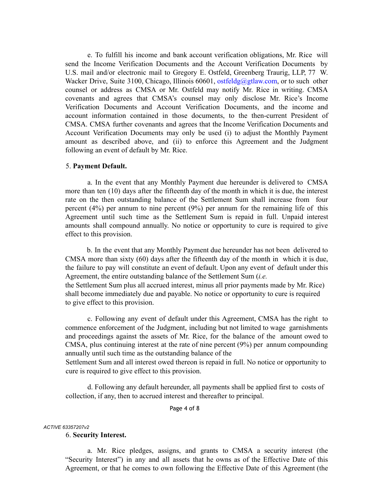e. To fulfill his income and bank account verification obligations, Mr. Rice will send the Income Verification Documents and the Account Verification Documents by U.S. mail and/or electronic mail to Gregory E. Ostfeld, Greenberg Traurig, LLP, 77 W. Wacker Drive, Suite 3100, Chicago, Illinois 60601, ostfeldg@gtlaw.com, or to such other counsel or address as CMSA or Mr. Ostfeld may notify Mr. Rice in writing. CMSA covenants and agrees that CMSA's counsel may only disclose Mr. Rice's Income Verification Documents and Account Verification Documents, and the income and account information contained in those documents, to the then-current President of CMSA. CMSA further covenants and agrees that the Income Verification Documents and Account Verification Documents may only be used (i) to adjust the Monthly Payment amount as described above, and (ii) to enforce this Agreement and the Judgment following an event of default by Mr. Rice.

#### 5. **Payment Default.**

a. In the event that any Monthly Payment due hereunder is delivered to CMSA more than ten (10) days after the fifteenth day of the month in which it is due, the interest rate on the then outstanding balance of the Settlement Sum shall increase from four percent (4%) per annum to nine percent (9%) per annum for the remaining life of this Agreement until such time as the Settlement Sum is repaid in full. Unpaid interest amounts shall compound annually. No notice or opportunity to cure is required to give effect to this provision.

b. In the event that any Monthly Payment due hereunder has not been delivered to CMSA more than sixty (60) days after the fifteenth day of the month in which it is due, the failure to pay will constitute an event of default. Upon any event of default under this Agreement, the entire outstanding balance of the Settlement Sum (*i.e.*

the Settlement Sum plus all accrued interest, minus all prior payments made by Mr. Rice) shall become immediately due and payable. No notice or opportunity to cure is required to give effect to this provision.

c. Following any event of default under this Agreement, CMSA has the right to commence enforcement of the Judgment, including but not limited to wage garnishments and proceedings against the assets of Mr. Rice, for the balance of the amount owed to CMSA, plus continuing interest at the rate of nine percent (9%) per annum compounding annually until such time as the outstanding balance of the

Settlement Sum and all interest owed thereon is repaid in full. No notice or opportunity to cure is required to give effect to this provision.

d. Following any default hereunder, all payments shall be applied first to costs of collection, if any, then to accrued interest and thereafter to principal.

#### Page 4 of 8

#### *ACTIVE 63357207v2*

#### 6. **Security Interest.**

a. Mr. Rice pledges, assigns, and grants to CMSA a security interest (the "Security Interest") in any and all assets that he owns as of the Effective Date of this Agreement, or that he comes to own following the Effective Date of this Agreement (the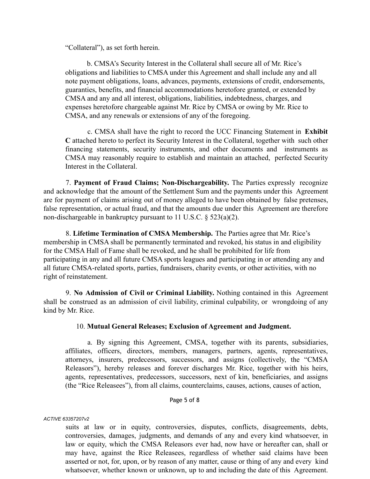"Collateral"), as set forth herein.

b. CMSA's Security Interest in the Collateral shall secure all of Mr. Rice's obligations and liabilities to CMSA under this Agreement and shall include any and all note payment obligations, loans, advances, payments, extensions of credit, endorsements, guaranties, benefits, and financial accommodations heretofore granted, or extended by CMSA and any and all interest, obligations, liabilities, indebtedness, charges, and expenses heretofore chargeable against Mr. Rice by CMSA or owing by Mr. Rice to CMSA, and any renewals or extensions of any of the foregoing.

c. CMSA shall have the right to record the UCC Financing Statement in **Exhibit C** attached hereto to perfect its Security Interest in the Collateral, together with such other financing statements, security instruments, and other documents and instruments as CMSA may reasonably require to establish and maintain an attached, perfected Security Interest in the Collateral.

7. **Payment of Fraud Claims; Non-Dischargeability.** The Parties expressly recognize and acknowledge that the amount of the Settlement Sum and the payments under this Agreement are for payment of claims arising out of money alleged to have been obtained by false pretenses, false representation, or actual fraud, and that the amounts due under this Agreement are therefore non-dischargeable in bankruptcy pursuant to 11 U.S.C. § 523(a)(2).

8. **Lifetime Termination of CMSA Membership.** The Parties agree that Mr. Rice's membership in CMSA shall be permanently terminated and revoked, his status in and eligibility for the CMSA Hall of Fame shall be revoked, and he shall be prohibited for life from participating in any and all future CMSA sports leagues and participating in or attending any and all future CMSA-related sports, parties, fundraisers, charity events, or other activities, with no right of reinstatement.

9. **No Admission of Civil or Criminal Liability.** Nothing contained in this Agreement shall be construed as an admission of civil liability, criminal culpability, or wrongdoing of any kind by Mr. Rice.

## 10. **Mutual General Releases; Exclusion of Agreement and Judgment.**

a. By signing this Agreement, CMSA, together with its parents, subsidiaries, affiliates, officers, directors, members, managers, partners, agents, representatives, attorneys, insurers, predecessors, successors, and assigns (collectively, the "CMSA Releasors"), hereby releases and forever discharges Mr. Rice, together with his heirs, agents, representatives, predecessors, successors, next of kin, beneficiaries, and assigns (the "Rice Releasees"), from all claims, counterclaims, causes, actions, causes of action,

## Page 5 of 8

## *ACTIVE 63357207v2*

suits at law or in equity, controversies, disputes, conflicts, disagreements, debts, controversies, damages, judgments, and demands of any and every kind whatsoever, in law or equity, which the CMSA Releasors ever had, now have or hereafter can, shall or may have, against the Rice Releasees, regardless of whether said claims have been asserted or not, for, upon, or by reason of any matter, cause or thing of any and every kind whatsoever, whether known or unknown, up to and including the date of this Agreement.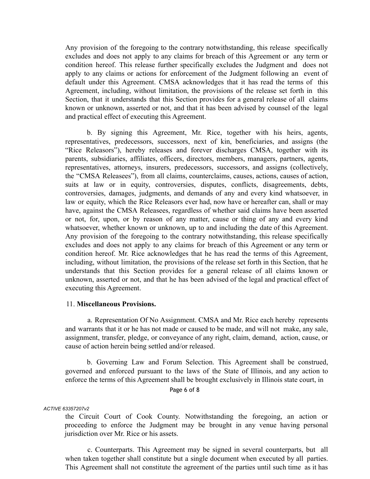Any provision of the foregoing to the contrary notwithstanding, this release specifically excludes and does not apply to any claims for breach of this Agreement or any term or condition hereof. This release further specifically excludes the Judgment and does not apply to any claims or actions for enforcement of the Judgment following an event of default under this Agreement. CMSA acknowledges that it has read the terms of this Agreement, including, without limitation, the provisions of the release set forth in this Section, that it understands that this Section provides for a general release of all claims known or unknown, asserted or not, and that it has been advised by counsel of the legal and practical effect of executing this Agreement.

b. By signing this Agreement, Mr. Rice, together with his heirs, agents, representatives, predecessors, successors, next of kin, beneficiaries, and assigns (the "Rice Releasors"), hereby releases and forever discharges CMSA, together with its parents, subsidiaries, affiliates, officers, directors, members, managers, partners, agents, representatives, attorneys, insurers, predecessors, successors, and assigns (collectively, the "CMSA Releasees"), from all claims, counterclaims, causes, actions, causes of action, suits at law or in equity, controversies, disputes, conflicts, disagreements, debts, controversies, damages, judgments, and demands of any and every kind whatsoever, in law or equity, which the Rice Releasors ever had, now have or hereafter can, shall or may have, against the CMSA Releasees, regardless of whether said claims have been asserted or not, for, upon, or by reason of any matter, cause or thing of any and every kind whatsoever, whether known or unknown, up to and including the date of this Agreement. Any provision of the foregoing to the contrary notwithstanding, this release specifically excludes and does not apply to any claims for breach of this Agreement or any term or condition hereof. Mr. Rice acknowledges that he has read the terms of this Agreement, including, without limitation, the provisions of the release set forth in this Section, that he understands that this Section provides for a general release of all claims known or unknown, asserted or not, and that he has been advised of the legal and practical effect of executing this Agreement.

## 11. **Miscellaneous Provisions.**

a. Representation Of No Assignment. CMSA and Mr. Rice each hereby represents and warrants that it or he has not made or caused to be made, and will not make, any sale, assignment, transfer, pledge, or conveyance of any right, claim, demand, action, cause, or cause of action herein being settled and/or released.

b. Governing Law and Forum Selection. This Agreement shall be construed, governed and enforced pursuant to the laws of the State of Illinois, and any action to enforce the terms of this Agreement shall be brought exclusively in Illinois state court, in

Page 6 of 8

#### *ACTIVE 63357207v2*

the Circuit Court of Cook County. Notwithstanding the foregoing, an action or proceeding to enforce the Judgment may be brought in any venue having personal jurisdiction over Mr. Rice or his assets.

c. Counterparts. This Agreement may be signed in several counterparts, but all when taken together shall constitute but a single document when executed by all parties. This Agreement shall not constitute the agreement of the parties until such time as it has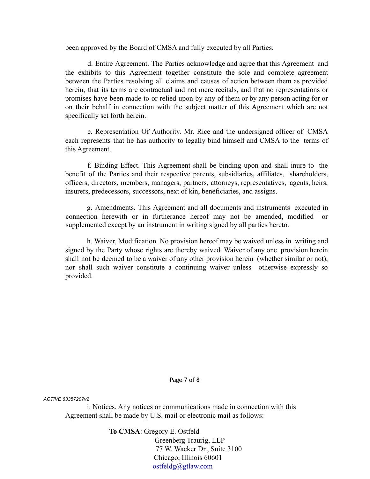been approved by the Board of CMSA and fully executed by all Parties.

d. Entire Agreement. The Parties acknowledge and agree that this Agreement and the exhibits to this Agreement together constitute the sole and complete agreement between the Parties resolving all claims and causes of action between them as provided herein, that its terms are contractual and not mere recitals, and that no representations or promises have been made to or relied upon by any of them or by any person acting for or on their behalf in connection with the subject matter of this Agreement which are not specifically set forth herein.

e. Representation Of Authority. Mr. Rice and the undersigned officer of CMSA each represents that he has authority to legally bind himself and CMSA to the terms of this Agreement.

f. Binding Effect. This Agreement shall be binding upon and shall inure to the benefit of the Parties and their respective parents, subsidiaries, affiliates, shareholders, officers, directors, members, managers, partners, attorneys, representatives, agents, heirs, insurers, predecessors, successors, next of kin, beneficiaries, and assigns.

g. Amendments. This Agreement and all documents and instruments executed in connection herewith or in furtherance hereof may not be amended, modified or supplemented except by an instrument in writing signed by all parties hereto.

h. Waiver, Modification. No provision hereof may be waived unless in writing and signed by the Party whose rights are thereby waived. Waiver of any one provision herein shall not be deemed to be a waiver of any other provision herein (whether similar or not), nor shall such waiver constitute a continuing waiver unless otherwise expressly so provided.

Page 7 of 8

*ACTIVE 63357207v2*

i. Notices. Any notices or communications made in connection with this Agreement shall be made by U.S. mail or electronic mail as follows:

**To CMSA**: Gregory E. Ostfeld

Greenberg Traurig, LLP 77 W. Wacker Dr., Suite 3100 Chicago, Illinois 60601 ostfeldg@gtlaw.com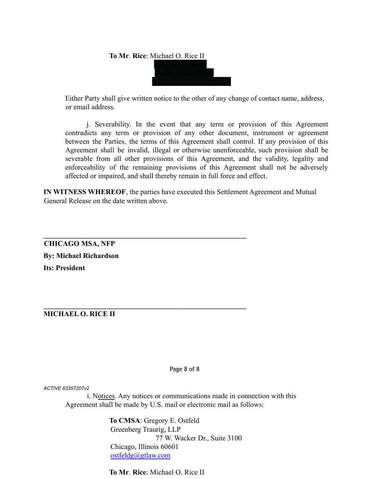

Either Party shall give written notice to the other of any change of contact name, address, or email address.

j. Severability. In the event that any term or provision of this Agreement contradicts any term or provision of any other document, instrument or agreement between the Parties, the terms of this Agreement shall control. If any provision of this Agreement shall be invalid, illegal or otherwise unenforceable, such provision shall be severable from all other provisions of this Agreement, and the validity, legality and enforceability of the remaining provisions of this Agreement shall not be adversely affected or impaired, and shall thereby remain in full force and effect.

**IN WITNESS WHEREOF**, the parties have executed this Settlement Agreement and Mutual General Release on the date written above.

**\_\_\_\_\_\_\_\_\_\_\_\_\_\_\_\_\_\_\_\_\_\_\_\_\_\_\_\_\_\_\_\_\_\_\_\_\_\_\_\_\_\_\_\_\_\_\_\_\_\_\_\_\_\_\_\_**

**\_\_\_\_\_\_\_\_\_\_\_\_\_\_\_\_\_\_\_\_\_\_\_\_\_\_\_\_\_\_\_\_\_\_\_\_\_\_\_\_\_\_\_\_\_\_\_\_\_\_\_\_\_\_\_\_**

**CHICAGO MSA, NFP By: Michael Richardson Its: President**

**MICHAEL O. RICE II**

Page 8 of 8

*ACTIVE 63357207v2*

i. Notices. Any notices or communications made in connection with this Agreement shall be made by U.S. mail or electronic mail as follows:

> **To CMSA**: Gregory E. Ostfeld Greenberg Traurig, LLP 77 W. Wacker Dr., Suite 3100 Chicago, Illinois 60601 ostfeldg@gtlaw.com

**To Mr**. **Rice**: Michael O. Rice II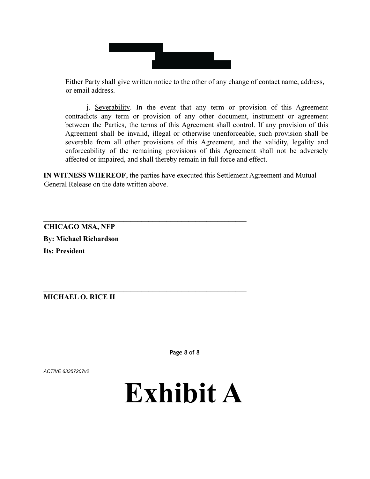

Either Party shall give written notice to the other of any change of contact name, address, or email address.

j. Severability. In the event that any term or provision of this Agreement contradicts any term or provision of any other document, instrument or agreement between the Parties, the terms of this Agreement shall control. If any provision of this Agreement shall be invalid, illegal or otherwise unenforceable, such provision shall be severable from all other provisions of this Agreement, and the validity, legality and enforceability of the remaining provisions of this Agreement shall not be adversely affected or impaired, and shall thereby remain in full force and effect.

**IN WITNESS WHEREOF**, the parties have executed this Settlement Agreement and Mutual General Release on the date written above.

**\_\_\_\_\_\_\_\_\_\_\_\_\_\_\_\_\_\_\_\_\_\_\_\_\_\_\_\_\_\_\_\_\_\_\_\_\_\_\_\_\_\_\_\_\_\_\_\_\_\_\_\_\_\_\_\_**

**\_\_\_\_\_\_\_\_\_\_\_\_\_\_\_\_\_\_\_\_\_\_\_\_\_\_\_\_\_\_\_\_\_\_\_\_\_\_\_\_\_\_\_\_\_\_\_\_\_\_\_\_\_\_\_\_**

**CHICAGO MSA, NFP By: Michael Richardson Its: President**

# **MICHAEL O. RICE II**

Page 8 of 8

*ACTIVE 63357207v2*

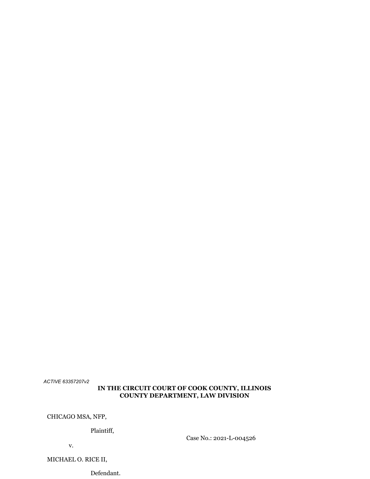## **IN THE CIRCUIT COURT OF COOK COUNTY, ILLINOIS COUNTY DEPARTMENT, LAW DIVISION**

CHICAGO MSA, NFP,

Plaintiff,

Case No.: 2021-L-004526

v.

MICHAEL O. RICE II,

Defendant.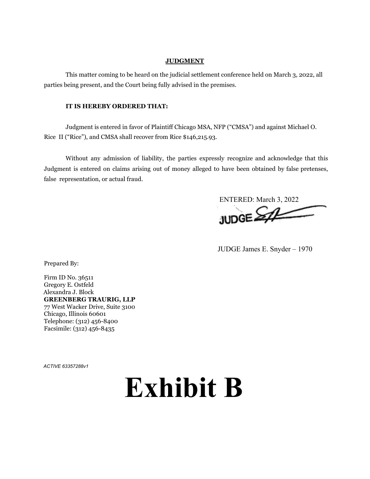#### **JUDGMENT**

This matter coming to be heard on the judicial settlement conference held on March 3, 2022, all parties being present, and the Court being fully advised in the premises.

#### **IT IS HEREBY ORDERED THAT:**

Judgment is entered in favor of Plaintiff Chicago MSA, NFP ("CMSA") and against Michael O. Rice II ("Rice"), and CMSA shall recover from Rice \$146,215.93.

Without any admission of liability, the parties expressly recognize and acknowledge that this Judgment is entered on claims arising out of money alleged to have been obtained by false pretenses, false representation, or actual fraud.

ENTERED: March 3, 2022 **JUDGE SAL** 

JUDGE James E. Snyder – 1970

Prepared By:

Firm ID No. 36511 Gregory E. Ostfeld Alexandra J. Block **GREENBERG TRAURIG, LLP** 77 West Wacker Drive, Suite 3100 Chicago, Illinois 60601 Telephone: (312) 456-8400 Facsimile: (312) 456-8435

*ACTIVE 63357288v1*

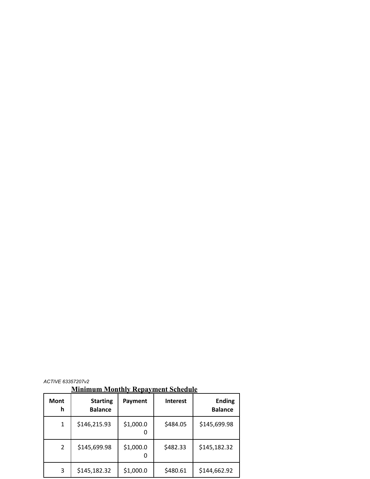**Minimum Monthly Repayment Schedule**

| <b>Mont</b><br>h | <b>Starting</b><br><b>Balance</b> | Payment   | <b>Interest</b> | <b>Ending</b><br><b>Balance</b> |
|------------------|-----------------------------------|-----------|-----------------|---------------------------------|
| 1                | \$146,215.93                      | \$1,000.0 | \$484.05        | \$145,699.98                    |
| $\overline{2}$   | \$145,699.98                      | \$1,000.0 | \$482.33        | \$145,182.32                    |
| 3                | \$145,182.32                      | \$1,000.0 | \$480.61        | \$144,662.92                    |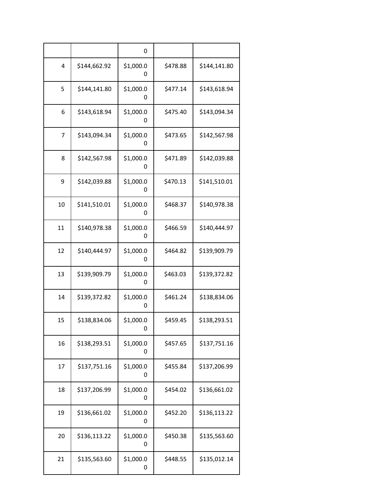|                |              | 0              |          |              |
|----------------|--------------|----------------|----------|--------------|
| 4              | \$144,662.92 | \$1,000.0<br>0 | \$478.88 | \$144,141.80 |
| 5              | \$144,141.80 | \$1,000.0<br>0 | \$477.14 | \$143,618.94 |
| 6              | \$143,618.94 | \$1,000.0<br>0 | \$475.40 | \$143,094.34 |
| $\overline{7}$ | \$143,094.34 | \$1,000.0<br>0 | \$473.65 | \$142,567.98 |
| 8              | \$142,567.98 | \$1,000.0<br>0 | \$471.89 | \$142,039.88 |
| 9              | \$142,039.88 | \$1,000.0<br>0 | \$470.13 | \$141,510.01 |
| 10             | \$141,510.01 | \$1,000.0<br>0 | \$468.37 | \$140,978.38 |
| 11             | \$140,978.38 | \$1,000.0<br>0 | \$466.59 | \$140,444.97 |
| 12             | \$140,444.97 | \$1,000.0<br>0 | \$464.82 | \$139,909.79 |
| 13             | \$139,909.79 | \$1,000.0<br>0 | \$463.03 | \$139,372.82 |
| 14             | \$139,372.82 | \$1,000.0<br>O | \$461.24 | \$138,834.06 |
| 15             | \$138,834.06 | \$1,000.0<br>0 | \$459.45 | \$138,293.51 |
| 16             | \$138,293.51 | \$1,000.0<br>0 | \$457.65 | \$137,751.16 |
| 17             | \$137,751.16 | \$1,000.0<br>0 | \$455.84 | \$137,206.99 |
| 18             | \$137,206.99 | \$1,000.0<br>0 | \$454.02 | \$136,661.02 |
| 19             | \$136,661.02 | \$1,000.0<br>0 | \$452.20 | \$136,113.22 |
| 20             | \$136,113.22 | \$1,000.0<br>0 | \$450.38 | \$135,563.60 |
| 21             | \$135,563.60 | \$1,000.0<br>0 | \$448.55 | \$135,012.14 |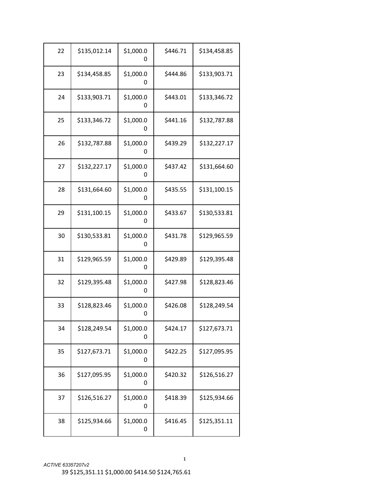| 22 | \$135,012.14 | \$1,000.0<br>0 | \$446.71 | \$134,458.85 |
|----|--------------|----------------|----------|--------------|
| 23 | \$134,458.85 | \$1,000.0<br>0 | \$444.86 | \$133,903.71 |
| 24 | \$133,903.71 | \$1,000.0<br>0 | \$443.01 | \$133,346.72 |
| 25 | \$133,346.72 | \$1,000.0<br>0 | \$441.16 | \$132,787.88 |
| 26 | \$132,787.88 | \$1,000.0<br>0 | \$439.29 | \$132,227.17 |
| 27 | \$132,227.17 | \$1,000.0<br>0 | \$437.42 | \$131,664.60 |
| 28 | \$131,664.60 | \$1,000.0<br>0 | \$435.55 | \$131,100.15 |
| 29 | \$131,100.15 | \$1,000.0<br>0 | \$433.67 | \$130,533.81 |
| 30 | \$130,533.81 | \$1,000.0<br>0 | \$431.78 | \$129,965.59 |
| 31 | \$129,965.59 | \$1,000.0<br>0 | \$429.89 | \$129,395.48 |
| 32 | \$129,395.48 | \$1,000.0<br>O | \$427.98 | \$128,823.46 |
| 33 | \$128,823.46 | \$1,000.0      | \$426.08 | \$128,249.54 |
| 34 | \$128,249.54 | \$1,000.0<br>0 | \$424.17 | \$127,673.71 |
| 35 | \$127,673.71 | \$1,000.0<br>0 | \$422.25 | \$127,095.95 |
| 36 | \$127,095.95 | \$1,000.0<br>0 | \$420.32 | \$126,516.27 |
| 37 | \$126,516.27 | \$1,000.0<br>0 | \$418.39 | \$125,934.66 |
| 38 | \$125,934.66 | \$1,000.0<br>0 | \$416.45 | \$125,351.11 |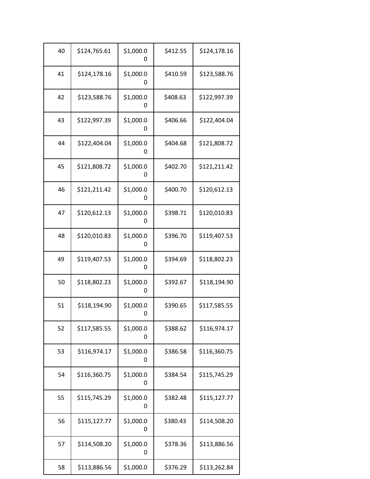| 40 | \$124,765.61 | \$1,000.0<br>0 | \$412.55 | \$124,178.16 |
|----|--------------|----------------|----------|--------------|
| 41 | \$124,178.16 | \$1,000.0<br>0 | \$410.59 | \$123,588.76 |
| 42 | \$123,588.76 | \$1,000.0<br>0 | \$408.63 | \$122,997.39 |
| 43 | \$122,997.39 | \$1,000.0<br>0 | \$406.66 | \$122,404.04 |
| 44 | \$122,404.04 | \$1,000.0<br>0 | \$404.68 | \$121,808.72 |
| 45 | \$121,808.72 | \$1,000.0<br>0 | \$402.70 | \$121,211.42 |
| 46 | \$121,211.42 | \$1,000.0<br>0 | \$400.70 | \$120,612.13 |
| 47 | \$120,612.13 | \$1,000.0<br>0 | \$398.71 | \$120,010.83 |
| 48 | \$120,010.83 | \$1,000.0<br>0 | \$396.70 | \$119,407.53 |
| 49 | \$119,407.53 | \$1,000.0<br>0 | \$394.69 | \$118,802.23 |
| 50 | \$118,802.23 | \$1,000.0<br>O | \$392.67 | \$118,194.90 |
| 51 | \$118,194.90 | \$1,000.0<br>0 | \$390.65 | \$117,585.55 |
| 52 | \$117,585.55 | \$1,000.0<br>0 | \$388.62 | \$116,974.17 |
| 53 | \$116,974.17 | \$1,000.0<br>0 | \$386.58 | \$116,360.75 |
| 54 | \$116,360.75 | \$1,000.0<br>0 | \$384.54 | \$115,745.29 |
| 55 | \$115,745.29 | \$1,000.0<br>0 | \$382.48 | \$115,127.77 |
| 56 | \$115,127.77 | \$1,000.0<br>0 | \$380.43 | \$114,508.20 |
| 57 | \$114,508.20 | \$1,000.0<br>0 | \$378.36 | \$113,886.56 |
| 58 | \$113,886.56 | \$1,000.0      | \$376.29 | \$113,262.84 |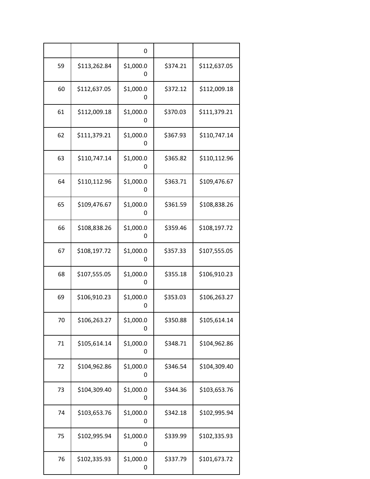|    |              | 0              |          |              |
|----|--------------|----------------|----------|--------------|
| 59 | \$113,262.84 | \$1,000.0<br>0 | \$374.21 | \$112,637.05 |
| 60 | \$112,637.05 | \$1,000.0<br>0 | \$372.12 | \$112,009.18 |
| 61 | \$112,009.18 | \$1,000.0<br>0 | \$370.03 | \$111,379.21 |
| 62 | \$111,379.21 | \$1,000.0<br>0 | \$367.93 | \$110,747.14 |
| 63 | \$110,747.14 | \$1,000.0<br>0 | \$365.82 | \$110,112.96 |
| 64 | \$110,112.96 | \$1,000.0<br>0 | \$363.71 | \$109,476.67 |
| 65 | \$109,476.67 | \$1,000.0<br>0 | \$361.59 | \$108,838.26 |
| 66 | \$108,838.26 | \$1,000.0<br>0 | \$359.46 | \$108,197.72 |
| 67 | \$108,197.72 | \$1,000.0<br>0 | \$357.33 | \$107,555.05 |
| 68 | \$107,555.05 | \$1,000.0<br>0 | \$355.18 | \$106,910.23 |
| 69 | \$106,910.23 | \$1,000.0<br>0 | \$353.03 | \$106,263.27 |
| 70 | \$106,263.27 | \$1,000.0<br>0 | \$350.88 | \$105,614.14 |
| 71 | \$105,614.14 | \$1,000.0<br>0 | \$348.71 | \$104,962.86 |
| 72 | \$104,962.86 | \$1,000.0<br>0 | \$346.54 | \$104,309.40 |
| 73 | \$104,309.40 | \$1,000.0<br>0 | \$344.36 | \$103,653.76 |
| 74 | \$103,653.76 | \$1,000.0<br>0 | \$342.18 | \$102,995.94 |
| 75 | \$102,995.94 | \$1,000.0<br>0 | \$339.99 | \$102,335.93 |
| 76 | \$102,335.93 | \$1,000.0<br>0 | \$337.79 | \$101,673.72 |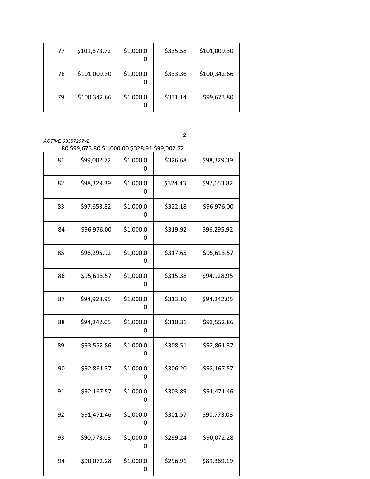| 77 | \$101,673.72 | \$1,000.0 | \$335.58 | \$101,009.30 |
|----|--------------|-----------|----------|--------------|
| 78 | \$101,009.30 | \$1,000.0 | \$333.36 | \$100,342.66 |
| 79 | \$100,342.66 | \$1,000.0 | \$331.14 | \$99,673.80  |

*ACTIVE 63357207v2*

\$99,673.80 \$1,000.00 \$328.91 \$99,002.72

| 81 | \$99,002.72 | \$1,000.0<br>0 | \$326.68 | \$98,329.39 |
|----|-------------|----------------|----------|-------------|
| 82 | \$98,329.39 | \$1,000.0<br>0 | \$324.43 | \$97,653.82 |
| 83 | \$97,653.82 | \$1,000.0<br>0 | \$322.18 | \$96,976.00 |
| 84 | \$96,976.00 | \$1,000.0<br>0 | \$319.92 | \$96,295.92 |
| 85 | \$96,295.92 | \$1,000.0<br>0 | \$317.65 | \$95,613.57 |
| 86 | \$95,613.57 | \$1,000.0<br>0 | \$315.38 | \$94,928.95 |
| 87 | \$94,928.95 | \$1,000.0<br>0 | \$313.10 | \$94,242.05 |
| 88 | \$94,242.05 | \$1,000.0<br>0 | \$310.81 | \$93,552.86 |
| 89 | \$93,552.86 | \$1,000.0<br>0 | \$308.51 | \$92,861.37 |
| 90 | \$92,861.37 | \$1,000.0<br>O | \$306.20 | \$92,167.57 |
| 91 | \$92,167.57 | \$1,000.0<br>0 | \$303.89 | \$91,471.46 |
| 92 | \$91,471.46 | \$1,000.0<br>O | \$301.57 | \$90,773.03 |
| 93 | \$90,773.03 | \$1,000.0<br>0 | \$299.24 | \$90,072.28 |
| 94 | \$90,072.28 | \$1,000.0<br>0 | \$296.91 | \$89,369.19 |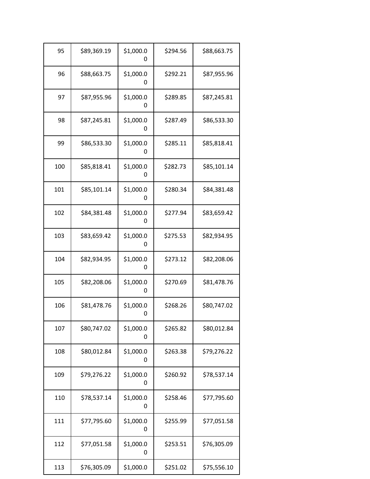| 95  | \$89,369.19 | \$1,000.0<br>0        | \$294.56 | \$88,663.75 |
|-----|-------------|-----------------------|----------|-------------|
| 96  | \$88,663.75 | \$1,000.0<br>0        | \$292.21 | \$87,955.96 |
| 97  | \$87,955.96 | \$1,000.0<br>O        | \$289.85 | \$87,245.81 |
| 98  | \$87,245.81 | \$1,000.0<br>0        | \$287.49 | \$86,533.30 |
| 99  | \$86,533.30 | \$1,000.0<br>0        | \$285.11 | \$85,818.41 |
| 100 | \$85,818.41 | \$1,000.0<br>O        | \$282.73 | \$85,101.14 |
| 101 | \$85,101.14 | \$1,000.0<br>0        | \$280.34 | \$84,381.48 |
| 102 | \$84,381.48 | \$1,000.0<br>$\Omega$ | \$277.94 | \$83,659.42 |
| 103 | \$83,659.42 | \$1,000.0<br>0        | \$275.53 | \$82,934.95 |
| 104 | \$82,934.95 | \$1,000.0<br>0        | \$273.12 | \$82,208.06 |
| 105 | \$82,208.06 | \$1,000.0<br>0        | \$270.69 | \$81,478.76 |
| 106 | \$81,478.76 | \$1,000.0             | \$268.26 | \$80,747.02 |
| 107 | \$80,747.02 | \$1,000.0<br>0        | \$265.82 | \$80,012.84 |
| 108 | \$80,012.84 | \$1,000.0<br>0        | \$263.38 | \$79,276.22 |
| 109 | \$79,276.22 | \$1,000.0<br>0        | \$260.92 | \$78,537.14 |
| 110 | \$78,537.14 | \$1,000.0<br>0        | \$258.46 | \$77,795.60 |
| 111 | \$77,795.60 | \$1,000.0<br>0        | \$255.99 | \$77,051.58 |
| 112 | \$77,051.58 | \$1,000.0<br>0        | \$253.51 | \$76,305.09 |
| 113 | \$76,305.09 | \$1,000.0             | \$251.02 | \$75,556.10 |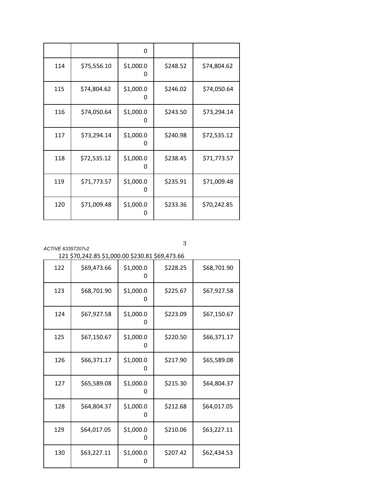|     |             | 0              |          |             |
|-----|-------------|----------------|----------|-------------|
| 114 | \$75,556.10 | \$1,000.0<br>O | \$248.52 | \$74,804.62 |
| 115 | \$74,804.62 | \$1,000.0<br>0 | \$246.02 | \$74,050.64 |
| 116 | \$74,050.64 | \$1,000.0<br>0 | \$243.50 | \$73,294.14 |
| 117 | \$73,294.14 | \$1,000.0<br>O | \$240.98 | \$72,535.12 |
| 118 | \$72,535.12 | \$1,000.0<br>O | \$238.45 | \$71,773.57 |
| 119 | \$71,773.57 | \$1,000.0<br>0 | \$235.91 | \$71,009.48 |
| 120 | \$71,009.48 | \$1,000.0      | \$233.36 | \$70,242.85 |

| 121 \$70,242.85 \$1,000.00 \$230.81 \$69,473.66 |  |  |
|-------------------------------------------------|--|--|
|                                                 |  |  |

| 122 | \$69,473.66 | \$1,000.0<br>0 | \$228.25 | \$68,701.90 |
|-----|-------------|----------------|----------|-------------|
| 123 | \$68,701.90 | \$1,000.0<br>0 | \$225.67 | \$67,927.58 |
| 124 | \$67,927.58 | \$1,000.0<br>0 | \$223.09 | \$67,150.67 |
| 125 | \$67,150.67 | \$1,000.0<br>0 | \$220.50 | \$66,371.17 |
| 126 | \$66,371.17 | \$1,000.0<br>O | \$217.90 | \$65,589.08 |
| 127 | \$65,589.08 | \$1,000.0<br>0 | \$215.30 | \$64,804.37 |
| 128 | \$64,804.37 | \$1,000.0<br>0 | \$212.68 | \$64,017.05 |
| 129 | \$64,017.05 | \$1,000.0<br>0 | \$210.06 | \$63,227.11 |
| 130 | \$63,227.11 | \$1,000.0<br>0 | \$207.42 | \$62,434.53 |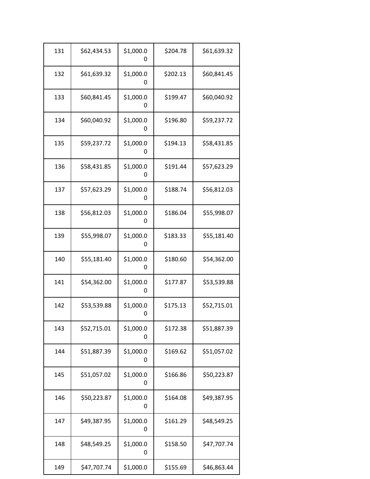| 131 | \$62,434.53 | \$1,000.0<br>0 | \$204.78 | \$61,639.32 |
|-----|-------------|----------------|----------|-------------|
| 132 | \$61,639.32 | \$1,000.0<br>0 | \$202.13 | \$60,841.45 |
| 133 | \$60,841.45 | \$1,000.0<br>0 | \$199.47 | \$60,040.92 |
| 134 | \$60,040.92 | \$1,000.0<br>0 | \$196.80 | \$59,237.72 |
| 135 | \$59,237.72 | \$1,000.0<br>0 | \$194.13 | \$58,431.85 |
| 136 | \$58,431.85 | \$1,000.0<br>0 | \$191.44 | \$57,623.29 |
| 137 | \$57,623.29 | \$1,000.0<br>0 | \$188.74 | \$56,812.03 |
| 138 | \$56,812.03 | \$1,000.0<br>0 | \$186.04 | \$55,998.07 |
| 139 | \$55,998.07 | \$1,000.0<br>0 | \$183.33 | \$55,181.40 |
| 140 | \$55,181.40 | \$1,000.0<br>0 | \$180.60 | \$54,362.00 |
| 141 | \$54,362.00 | \$1,000.0<br>O | \$177.87 | \$53,539.88 |
| 142 | \$53,539.88 | \$1,000.0<br>0 | \$175.13 | \$52,715.01 |
| 143 | \$52,715.01 | \$1,000.0<br>0 | \$172.38 | \$51,887.39 |
| 144 | \$51,887.39 | \$1,000.0<br>0 | \$169.62 | \$51,057.02 |
| 145 | \$51,057.02 | \$1,000.0<br>0 | \$166.86 | \$50,223.87 |
| 146 | \$50,223.87 | \$1,000.0<br>0 | \$164.08 | \$49,387.95 |
| 147 | \$49,387.95 | \$1,000.0<br>0 | \$161.29 | \$48,549.25 |
| 148 | \$48,549.25 | \$1,000.0<br>0 | \$158.50 | \$47,707.74 |
| 149 | \$47,707.74 | \$1,000.0      | \$155.69 | \$46,863.44 |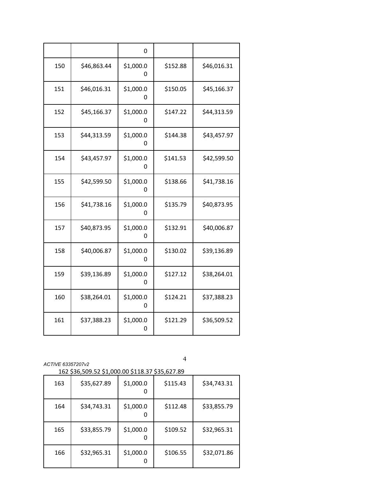|     |             | 0              |          |             |
|-----|-------------|----------------|----------|-------------|
| 150 | \$46,863.44 | \$1,000.0<br>0 | \$152.88 | \$46,016.31 |
| 151 | \$46,016.31 | \$1,000.0<br>0 | \$150.05 | \$45,166.37 |
| 152 | \$45,166.37 | \$1,000.0<br>0 | \$147.22 | \$44,313.59 |
| 153 | \$44,313.59 | \$1,000.0<br>0 | \$144.38 | \$43,457.97 |
| 154 | \$43,457.97 | \$1,000.0<br>0 | \$141.53 | \$42,599.50 |
| 155 | \$42,599.50 | \$1,000.0<br>0 | \$138.66 | \$41,738.16 |
| 156 | \$41,738.16 | \$1,000.0<br>O | \$135.79 | \$40,873.95 |
| 157 | \$40,873.95 | \$1,000.0<br>0 | \$132.91 | \$40,006.87 |
| 158 | \$40,006.87 | \$1,000.0<br>0 | \$130.02 | \$39,136.89 |
| 159 | \$39,136.89 | \$1,000.0<br>0 | \$127.12 | \$38,264.01 |
| 160 | \$38,264.01 | \$1,000.0<br>0 | \$124.21 | \$37,388.23 |
| 161 | \$37,388.23 | \$1,000.0<br>0 | \$121.29 | \$36,509.52 |

\$36,509.52 \$1,000.00 \$118.37 \$35,627.89

|     | +==;===== +=;== |           |          |             |
|-----|-----------------|-----------|----------|-------------|
| 163 | \$35,627.89     | \$1,000.0 | \$115.43 | \$34,743.31 |
| 164 | \$34,743.31     | \$1,000.0 | \$112.48 | \$33,855.79 |
| 165 | \$33,855.79     | \$1,000.0 | \$109.52 | \$32,965.31 |
| 166 | \$32,965.31     | \$1,000.0 | \$106.55 | \$32,071.86 |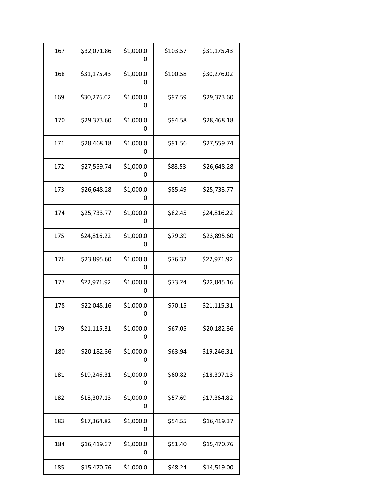| 167 | \$32,071.86 | \$1,000.0<br>0 | \$103.57 | \$31,175.43 |  |
|-----|-------------|----------------|----------|-------------|--|
| 168 | \$31,175.43 | \$1,000.0<br>0 | \$100.58 | \$30,276.02 |  |
| 169 | \$30,276.02 | \$1,000.0<br>0 | \$97.59  | \$29,373.60 |  |
| 170 | \$29,373.60 | \$1,000.0<br>0 | \$94.58  | \$28,468.18 |  |
| 171 | \$28,468.18 | \$1,000.0<br>0 | \$91.56  | \$27,559.74 |  |
| 172 | \$27,559.74 | \$1,000.0<br>0 | \$88.53  | \$26,648.28 |  |
| 173 | \$26,648.28 | \$1,000.0<br>0 | \$85.49  | \$25,733.77 |  |
| 174 | \$25,733.77 | \$1,000.0<br>0 | \$82.45  | \$24,816.22 |  |
| 175 | \$24,816.22 | \$1,000.0<br>0 | \$79.39  | \$23,895.60 |  |
| 176 | \$23,895.60 | \$1,000.0<br>0 | \$76.32  | \$22,971.92 |  |
| 177 | \$22,971.92 | \$1,000.0<br>O | \$73.24  | \$22,045.16 |  |
| 178 | \$22,045.16 | \$1,000.0<br>0 | \$70.15  | \$21,115.31 |  |
| 179 | \$21,115.31 | \$1,000.0<br>0 | \$67.05  | \$20,182.36 |  |
| 180 | \$20,182.36 | \$1,000.0<br>0 | \$63.94  | \$19,246.31 |  |
| 181 | \$19,246.31 | \$1,000.0<br>0 | \$60.82  | \$18,307.13 |  |
| 182 | \$18,307.13 | \$1,000.0<br>0 | \$57.69  | \$17,364.82 |  |
| 183 | \$17,364.82 | \$1,000.0<br>0 | \$54.55  | \$16,419.37 |  |
| 184 | \$16,419.37 | \$1,000.0<br>0 | \$51.40  | \$15,470.76 |  |
| 185 | \$15,470.76 | \$1,000.0      | \$48.24  | \$14,519.00 |  |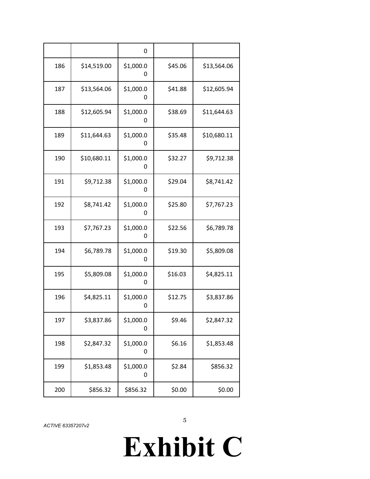|     |             | 0              |         |             |
|-----|-------------|----------------|---------|-------------|
| 186 | \$14,519.00 | \$1,000.0<br>0 | \$45.06 | \$13,564.06 |
| 187 | \$13,564.06 | \$1,000.0<br>0 | \$41.88 | \$12,605.94 |
| 188 | \$12,605.94 | \$1,000.0<br>0 | \$38.69 | \$11,644.63 |
| 189 | \$11,644.63 | \$1,000.0<br>0 | \$35.48 | \$10,680.11 |
| 190 | \$10,680.11 | \$1,000.0<br>0 | \$32.27 | \$9,712.38  |
| 191 | \$9,712.38  | \$1,000.0<br>0 | \$29.04 | \$8,741.42  |
| 192 | \$8,741.42  | \$1,000.0<br>0 | \$25.80 | \$7,767.23  |
| 193 | \$7,767.23  | \$1,000.0<br>0 | \$22.56 | \$6,789.78  |
| 194 | \$6,789.78  | \$1,000.0<br>0 | \$19.30 | \$5,809.08  |
| 195 | \$5,809.08  | \$1,000.0<br>0 | \$16.03 | \$4,825.11  |
| 196 | \$4,825.11  | \$1,000.0<br>O | \$12.75 | \$3,837.86  |
| 197 | \$3,837.86  | \$1,000.0<br>0 | \$9.46  | \$2,847.32  |
| 198 | \$2,847.32  | \$1,000.0<br>0 | \$6.16  | \$1,853.48  |
| 199 | \$1,853.48  | \$1,000.0<br>0 | \$2.84  | \$856.32    |
| 200 | \$856.32    | \$856.32       | \$0.00  | \$0.00      |

# **Exhibit C**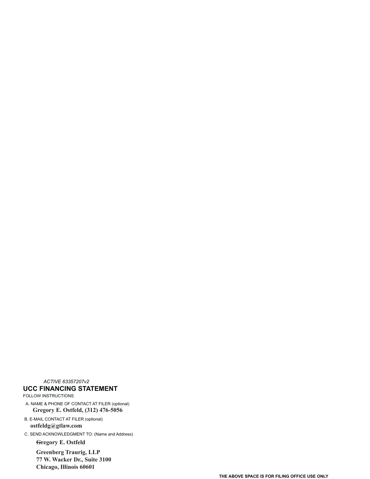*ACTIVE 63357207v2* **UCC FINANCING STATEMENT** FOLLOW INSTRUCTIONS A. NAME & PHONE OF CONTACT AT FILER (optional)

**Gregory E. Ostfeld, (312) 476-5056**

B. E-MAIL CONTACT AT FILER (optional) **ostfeldg@gtlaw.com**

C. SEND ACKNOWLEDGMENT TO: (Name and Address) **Gregory E. Ostfeld**

> **Greenberg Traurig, LLP 77 W. Wacker Dr., Suite 3100**

**Chicago, Illinois 60601**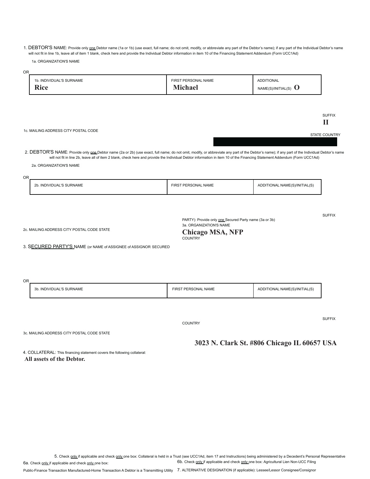1. DEBTOR'S NAME: Provide only one Debtor name (1a or 1b) (use exact, full name; do not omit, modify, or abbreviate any part of the Debtor's name); if any part of the Individual Debtor's name will not fit in line 1b, leave all of item 1 blank, check here and provide the Individual Debtor information in item 10 of the Financing Statement Addendum (Form UCC1Ad)

1a. ORGANIZATION'S NAME

| 0R                                                                                                                                                                                                                                                                                                                                                                                                      |                                                                                                              |                                              |                      |
|---------------------------------------------------------------------------------------------------------------------------------------------------------------------------------------------------------------------------------------------------------------------------------------------------------------------------------------------------------------------------------------------------------|--------------------------------------------------------------------------------------------------------------|----------------------------------------------|----------------------|
| 1b. INDIVIDUAL'S SURNAME<br><b>Rice</b>                                                                                                                                                                                                                                                                                                                                                                 | FIRST PERSONAL NAME<br><b>Michael</b>                                                                        | <b>ADDITIONAL</b><br>$NAME(S)/INTIAL(S)$ $O$ |                      |
|                                                                                                                                                                                                                                                                                                                                                                                                         |                                                                                                              |                                              |                      |
|                                                                                                                                                                                                                                                                                                                                                                                                         |                                                                                                              |                                              | <b>SUFFIX</b><br>П   |
| 1c. MAILING ADDRESS CITY POSTAL CODE                                                                                                                                                                                                                                                                                                                                                                    |                                                                                                              |                                              | <b>STATE COUNTRY</b> |
| 2. DEBTOR'S NAME: Provide only one Debtor name (2a or 2b) (use exact, full name; do not omit, modify, or abbreviate any part of the Debtor's name); if any part of the Individual Debtor's name<br>will not fit in line 2b, leave all of item 2 blank, check here and provide the Individual Debtor information in item 10 of the Financing Statement Addendum (Form UCC1Ad)<br>2a. ORGANIZATION'S NAME |                                                                                                              |                                              |                      |
| <b>OR</b>                                                                                                                                                                                                                                                                                                                                                                                               |                                                                                                              |                                              |                      |
| 2b. INDIVIDUAL'S SURNAME                                                                                                                                                                                                                                                                                                                                                                                | FIRST PERSONAL NAME                                                                                          | ADDITIONAL NAME(S)/INITIAL(S)                |                      |
|                                                                                                                                                                                                                                                                                                                                                                                                         |                                                                                                              |                                              |                      |
| 2c. MAILING ADDRESS CITY POSTAL CODE STATE                                                                                                                                                                                                                                                                                                                                                              | PARTY): Provide only one Secured Party name (3a or 3b)<br>3a. ORGANIZATION'S NAME<br><b>Chicago MSA, NFP</b> |                                              | <b>SUFFIX</b>        |
| 3. SECURED PARTY'S NAME (or NAME of ASSIGNEE of ASSIGNOR SECURED                                                                                                                                                                                                                                                                                                                                        | <b>COUNTRY</b>                                                                                               |                                              |                      |
|                                                                                                                                                                                                                                                                                                                                                                                                         |                                                                                                              |                                              |                      |
|                                                                                                                                                                                                                                                                                                                                                                                                         |                                                                                                              |                                              |                      |
| <b>OR</b><br>3b. INDIVIDUAL'S SURNAME                                                                                                                                                                                                                                                                                                                                                                   | FIRST PERSONAL NAME                                                                                          | ADDITIONAL NAME(S)/INITIAL(S)                |                      |
|                                                                                                                                                                                                                                                                                                                                                                                                         |                                                                                                              |                                              |                      |
|                                                                                                                                                                                                                                                                                                                                                                                                         | <b>COUNTRY</b>                                                                                               |                                              | <b>SUFFIX</b>        |
| 3c. MAILING ADDRESS CITY POSTAL CODE STATE                                                                                                                                                                                                                                                                                                                                                              |                                                                                                              |                                              |                      |
|                                                                                                                                                                                                                                                                                                                                                                                                         |                                                                                                              | 3023 N. Clark St. #806 Chicago IL 60657 USA  |                      |

4. COLLATERAL: This financing statement covers the following collateral: **All assets of the Debtor.**